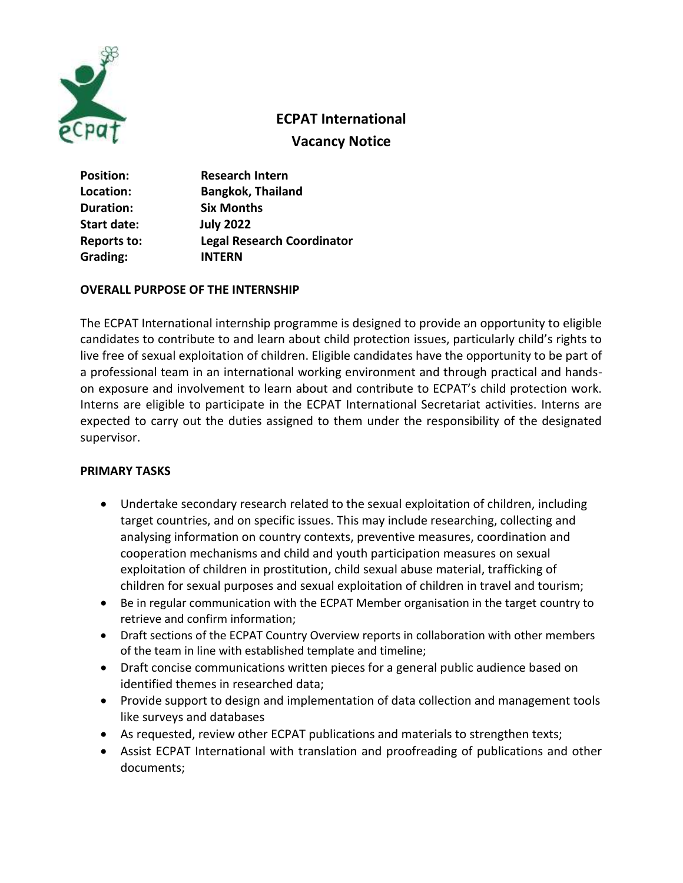

# **ECPAT International**

**Vacancy Notice**

| <b>Position:</b>   | <b>Research Intern</b>            |
|--------------------|-----------------------------------|
| Location:          | <b>Bangkok, Thailand</b>          |
| Duration:          | <b>Six Months</b>                 |
| <b>Start date:</b> | <b>July 2022</b>                  |
| <b>Reports to:</b> | <b>Legal Research Coordinator</b> |
| Grading:           | <b>INTERN</b>                     |

## **OVERALL PURPOSE OF THE INTERNSHIP**

The ECPAT International internship programme is designed to provide an opportunity to eligible candidates to contribute to and learn about child protection issues, particularly child's rights to live free of sexual exploitation of children. Eligible candidates have the opportunity to be part of a professional team in an international working environment and through practical and handson exposure and involvement to learn about and contribute to ECPAT's child protection work. Interns are eligible to participate in the ECPAT International Secretariat activities. Interns are expected to carry out the duties assigned to them under the responsibility of the designated supervisor.

#### **PRIMARY TASKS**

- Undertake secondary research related to the sexual exploitation of children, including target countries, and on specific issues. This may include researching, collecting and analysing information on country contexts, preventive measures, coordination and cooperation mechanisms and child and youth participation measures on sexual exploitation of children in prostitution, child sexual abuse material, trafficking of children for sexual purposes and sexual exploitation of children in travel and tourism;
- Be in regular communication with the ECPAT Member organisation in the target country to retrieve and confirm information;
- Draft sections of the ECPAT Country Overview reports in collaboration with other members of the team in line with established template and timeline;
- Draft concise communications written pieces for a general public audience based on identified themes in researched data;
- Provide support to design and implementation of data collection and management tools like surveys and databases
- As requested, review other ECPAT publications and materials to strengthen texts;
- Assist ECPAT International with translation and proofreading of publications and other documents;